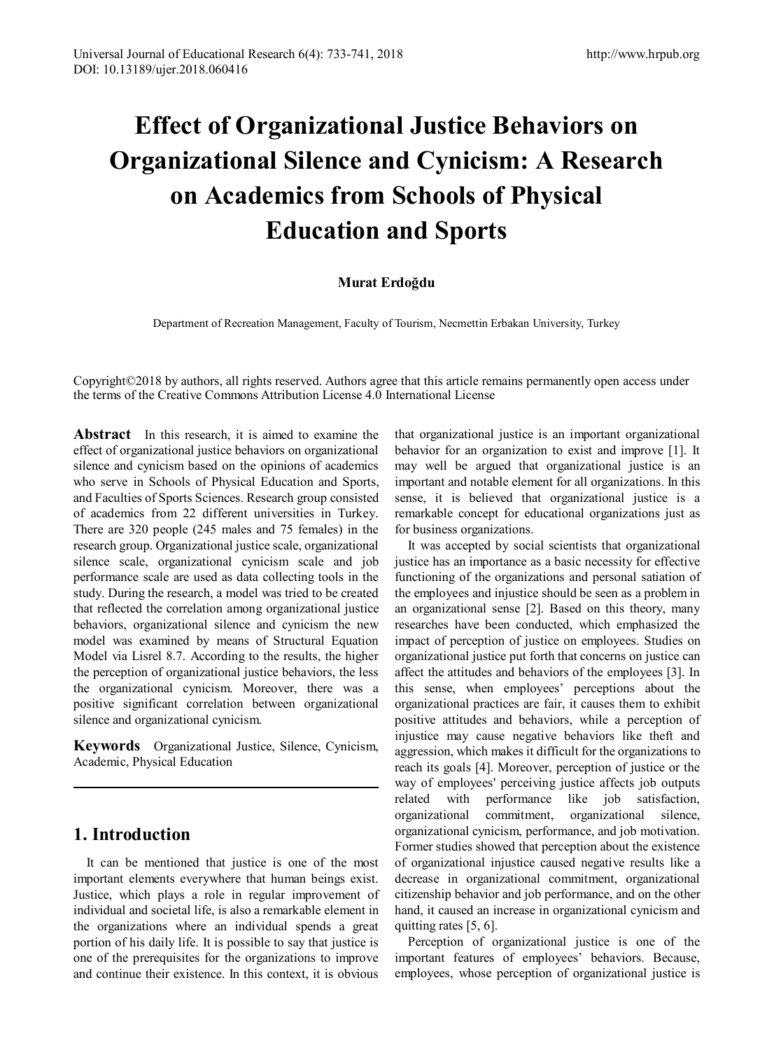# **Effect of Organizational Justice Behaviors on Organizational Silence and Cynicism: A Research on Academics from Schools of Physical Education and Sports**

### **Murat Erdoğdu**

Department of Recreation Management, Faculty of Tourism, Necmettin Erbakan University, Turkey

Copyright©2018 by authors, all rights reserved. Authors agree that this article remains permanently open access under the terms of the Creative Commons Attribution License 4.0 International License

**Abstract** In this research, it is aimed to examine the effect of organizational justice behaviors on organizational silence and cynicism based on the opinions of academics who serve in Schools of Physical Education and Sports, and Faculties of Sports Sciences. Research group consisted of academics from 22 different universities in Turkey. There are 320 people (245 males and 75 females) in the research group. Organizational justice scale, organizational silence scale, organizational cynicism scale and job performance scale are used as data collecting tools in the study. During the research, a model was tried to be created that reflected the correlation among organizational justice behaviors, organizational silence and cynicism the new model was examined by means of Structural Equation Model via Lisrel 8.7. According to the results, the higher the perception of organizational justice behaviors, the less the organizational cynicism. Moreover, there was a positive significant correlation between organizational silence and organizational cynicism.

**Keywords** Organizational Justice, Silence, Cynicism, Academic, Physical Education

## **1. Introduction**

It can be mentioned that justice is one of the most important elements everywhere that human beings exist. Justice, which plays a role in regular improvement of individual and societal life, is also a remarkable element in the organizations where an individual spends a great portion of his daily life. It is possible to say that justice is one of the prerequisites for the organizations to improve and continue their existence. In this context, it is obvious

that organizational justice is an important organizational behavior for an organization to exist and improve [1]. It may well be argued that organizational justice is an important and notable element for all organizations. In this sense, it is believed that organizational justice is a remarkable concept for educational organizations just as for business organizations.

It was accepted by social scientists that organizational justice has an importance as a basic necessity for effective functioning of the organizations and personal satiation of the employees and injustice should be seen as a problem in an organizational sense [2]. Based on this theory, many researches have been conducted, which emphasized the impact of perception of justice on employees. Studies on organizational justice put forth that concerns on justice can affect the attitudes and behaviors of the employees [3]. In this sense, when employees' perceptions about the organizational practices are fair, it causes them to exhibit positive attitudes and behaviors, while a perception of injustice may cause negative behaviors like theft and aggression, which makes it difficult for the organizations to reach its goals [4]. Moreover, perception of justice or the way of employees' perceiving justice affects job outputs related with performance like job satisfaction, organizational commitment, organizational silence, organizational cynicism, performance, and job motivation. Former studies showed that perception about the existence of organizational injustice caused negative results like a decrease in organizational commitment, organizational citizenship behavior and job performance, and on the other hand, it caused an increase in organizational cynicism and quitting rates [5, 6].

Perception of organizational justice is one of the important features of employees' behaviors. Because, employees, whose perception of organizational justice is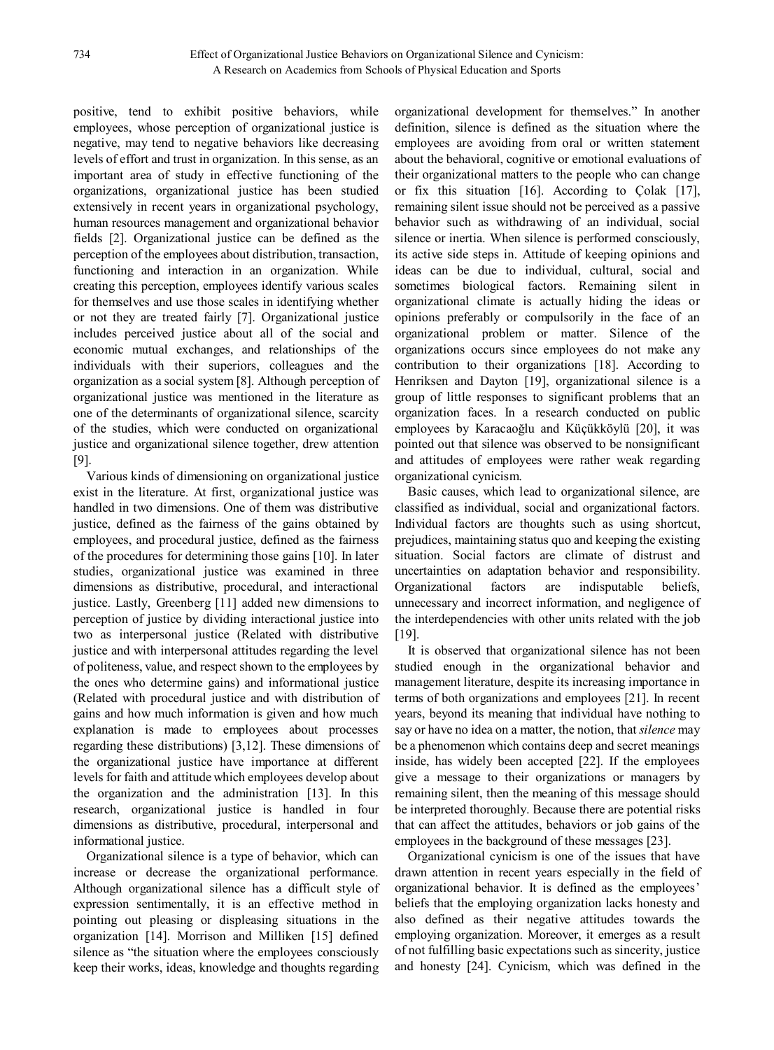positive, tend to exhibit positive behaviors, while employees, whose perception of organizational justice is negative, may tend to negative behaviors like decreasing levels of effort and trust in organization. In this sense, as an important area of study in effective functioning of the organizations, organizational justice has been studied extensively in recent years in organizational psychology, human resources management and organizational behavior fields [2]. Organizational justice can be defined as the perception of the employees about distribution, transaction, functioning and interaction in an organization. While creating this perception, employees identify various scales for themselves and use those scales in identifying whether or not they are treated fairly [7]. Organizational justice includes perceived justice about all of the social and economic mutual exchanges, and relationships of the individuals with their superiors, colleagues and the organization as a social system [8]. Although perception of organizational justice was mentioned in the literature as one of the determinants of organizational silence, scarcity of the studies, which were conducted on organizational justice and organizational silence together, drew attention [9].

Various kinds of dimensioning on organizational justice exist in the literature. At first, organizational justice was handled in two dimensions. One of them was distributive justice, defined as the fairness of the gains obtained by employees, and procedural justice, defined as the fairness of the procedures for determining those gains [10]. In later studies, organizational justice was examined in three dimensions as distributive, procedural, and interactional justice. Lastly, Greenberg [11] added new dimensions to perception of justice by dividing interactional justice into two as interpersonal justice (Related with distributive justice and with interpersonal attitudes regarding the level of politeness, value, and respect shown to the employees by the ones who determine gains) and informational justice (Related with procedural justice and with distribution of gains and how much information is given and how much explanation is made to employees about processes regarding these distributions) [3,12]. These dimensions of the organizational justice have importance at different levels for faith and attitude which employees develop about the organization and the administration [13]. In this research, organizational justice is handled in four dimensions as distributive, procedural, interpersonal and informational justice.

Organizational silence is a type of behavior, which can increase or decrease the organizational performance. Although organizational silence has a difficult style of expression sentimentally, it is an effective method in pointing out pleasing or displeasing situations in the organization [14]. Morrison and Milliken [15] defined silence as "the situation where the employees consciously keep their works, ideas, knowledge and thoughts regarding organizational development for themselves." In another definition, silence is defined as the situation where the employees are avoiding from oral or written statement about the behavioral, cognitive or emotional evaluations of their organizational matters to the people who can change or fix this situation [16]. According to Çolak [17], remaining silent issue should not be perceived as a passive behavior such as withdrawing of an individual, social silence or inertia. When silence is performed consciously, its active side steps in. Attitude of keeping opinions and ideas can be due to individual, cultural, social and sometimes biological factors. Remaining silent in organizational climate is actually hiding the ideas or opinions preferably or compulsorily in the face of an organizational problem or matter. Silence of the organizations occurs since employees do not make any contribution to their organizations [18]. According to Henriksen and Dayton [19], organizational silence is a group of little responses to significant problems that an organization faces. In a research conducted on public employees by Karacaoğlu and Küçükköylü [20], it was pointed out that silence was observed to be nonsignificant and attitudes of employees were rather weak regarding organizational cynicism.

Basic causes, which lead to organizational silence, are classified as individual, social and organizational factors. Individual factors are thoughts such as using shortcut, prejudices, maintaining status quo and keeping the existing situation. Social factors are climate of distrust and uncertainties on adaptation behavior and responsibility. Organizational factors are indisputable beliefs, unnecessary and incorrect information, and negligence of the interdependencies with other units related with the job [19].

It is observed that organizational silence has not been studied enough in the organizational behavior and management literature, despite its increasing importance in terms of both organizations and employees [21]. In recent years, beyond its meaning that individual have nothing to say or have no idea on a matter, the notion, that *silence* may be a phenomenon which contains deep and secret meanings inside, has widely been accepted [22]. If the employees give a message to their organizations or managers by remaining silent, then the meaning of this message should be interpreted thoroughly. Because there are potential risks that can affect the attitudes, behaviors or job gains of the employees in the background of these messages [23].

Organizational cynicism is one of the issues that have drawn attention in recent years especially in the field of organizational behavior. It is defined as the employees' beliefs that the employing organization lacks honesty and also defined as their negative attitudes towards the employing organization. Moreover, it emerges as a result of not fulfilling basic expectations such as sincerity, justice and honesty [24]. Cynicism, which was defined in the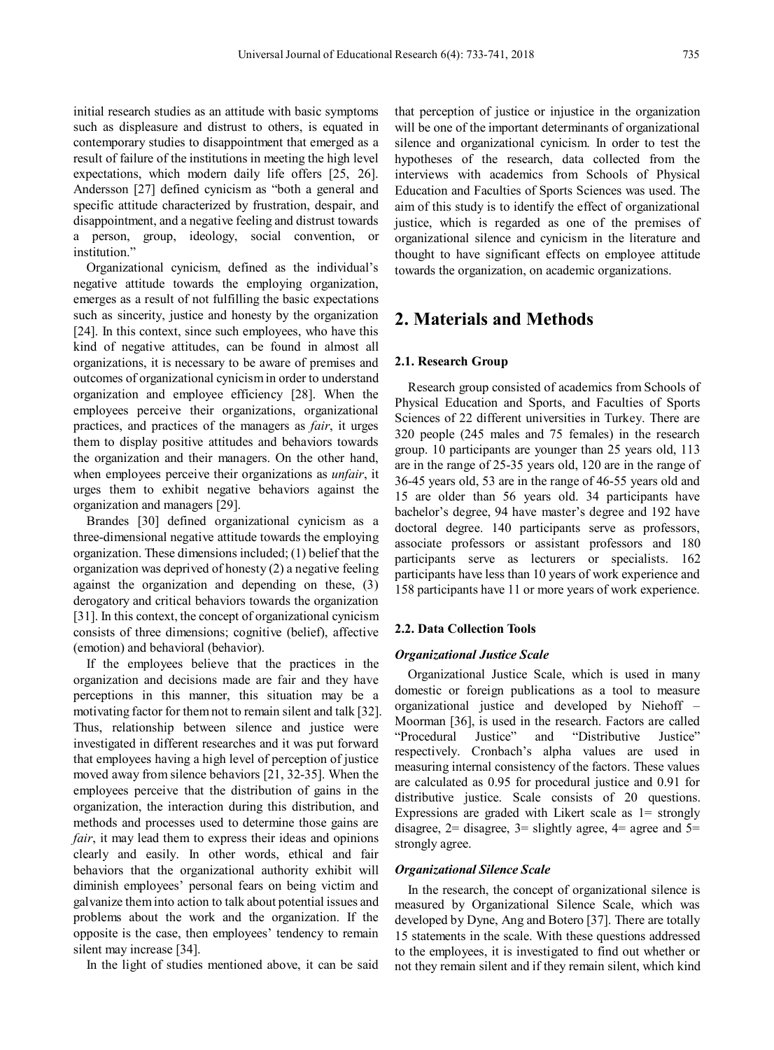initial research studies as an attitude with basic symptoms such as displeasure and distrust to others, is equated in contemporary studies to disappointment that emerged as a result of failure of the institutions in meeting the high level expectations, which modern daily life offers [25, 26]. Andersson [27] defined cynicism as "both a general and specific attitude characterized by frustration, despair, and disappointment, and a negative feeling and distrust towards a person, group, ideology, social convention, or institution."

Organizational cynicism, defined as the individual's negative attitude towards the employing organization, emerges as a result of not fulfilling the basic expectations such as sincerity, justice and honesty by the organization [24]. In this context, since such employees, who have this kind of negative attitudes, can be found in almost all organizations, it is necessary to be aware of premises and outcomes of organizational cynicism in order to understand organization and employee efficiency [28]. When the employees perceive their organizations, organizational practices, and practices of the managers as *fair*, it urges them to display positive attitudes and behaviors towards the organization and their managers. On the other hand, when employees perceive their organizations as *unfair*, it urges them to exhibit negative behaviors against the organization and managers [29].

Brandes [30] defined organizational cynicism as a three-dimensional negative attitude towards the employing organization. These dimensions included; (1) belief that the organization was deprived of honesty (2) a negative feeling against the organization and depending on these, (3) derogatory and critical behaviors towards the organization [31]. In this context, the concept of organizational cynicism consists of three dimensions; cognitive (belief), affective (emotion) and behavioral (behavior).

If the employees believe that the practices in the organization and decisions made are fair and they have perceptions in this manner, this situation may be a motivating factor for them not to remain silent and talk [32]. Thus, relationship between silence and justice were investigated in different researches and it was put forward that employees having a high level of perception of justice moved away from silence behaviors [21, 32-35]. When the employees perceive that the distribution of gains in the organization, the interaction during this distribution, and methods and processes used to determine those gains are *fair*, it may lead them to express their ideas and opinions clearly and easily. In other words, ethical and fair behaviors that the organizational authority exhibit will diminish employees' personal fears on being victim and galvanize them into action to talk about potential issues and problems about the work and the organization. If the opposite is the case, then employees' tendency to remain silent may increase [34].

In the light of studies mentioned above, it can be said

that perception of justice or injustice in the organization will be one of the important determinants of organizational silence and organizational cynicism. In order to test the hypotheses of the research, data collected from the interviews with academics from Schools of Physical Education and Faculties of Sports Sciences was used. The aim of this study is to identify the effect of organizational justice, which is regarded as one of the premises of organizational silence and cynicism in the literature and thought to have significant effects on employee attitude towards the organization, on academic organizations.

## **2. Materials and Methods**

#### **2.1. Research Group**

Research group consisted of academics from Schools of Physical Education and Sports, and Faculties of Sports Sciences of 22 different universities in Turkey. There are 320 people (245 males and 75 females) in the research group. 10 participants are younger than 25 years old, 113 are in the range of 25-35 years old, 120 are in the range of 36-45 years old, 53 are in the range of 46-55 years old and 15 are older than 56 years old. 34 participants have bachelor's degree, 94 have master's degree and 192 have doctoral degree. 140 participants serve as professors, associate professors or assistant professors and 180 participants serve as lecturers or specialists. 162 participants have less than 10 years of work experience and 158 participants have 11 or more years of work experience.

#### **2.2. Data Collection Tools**

#### *Organizational Justice Scale*

Organizational Justice Scale, which is used in many domestic or foreign publications as a tool to measure organizational justice and developed by Niehoff – Moorman [36], is used in the research. Factors are called "Procedural Justice" and "Distributive Justice" respectively. Cronbach's alpha values are used in measuring internal consistency of the factors. These values are calculated as 0.95 for procedural justice and 0.91 for distributive justice. Scale consists of 20 questions. Expressions are graded with Likert scale as  $1=$  strongly disagree,  $2=$  disagree,  $3=$  slightly agree,  $4=$  agree and  $5=$ strongly agree.

#### *Organizational Silence Scale*

In the research, the concept of organizational silence is measured by Organizational Silence Scale, which was developed by Dyne, Ang and Botero [37]. There are totally 15 statements in the scale. With these questions addressed to the employees, it is investigated to find out whether or not they remain silent and if they remain silent, which kind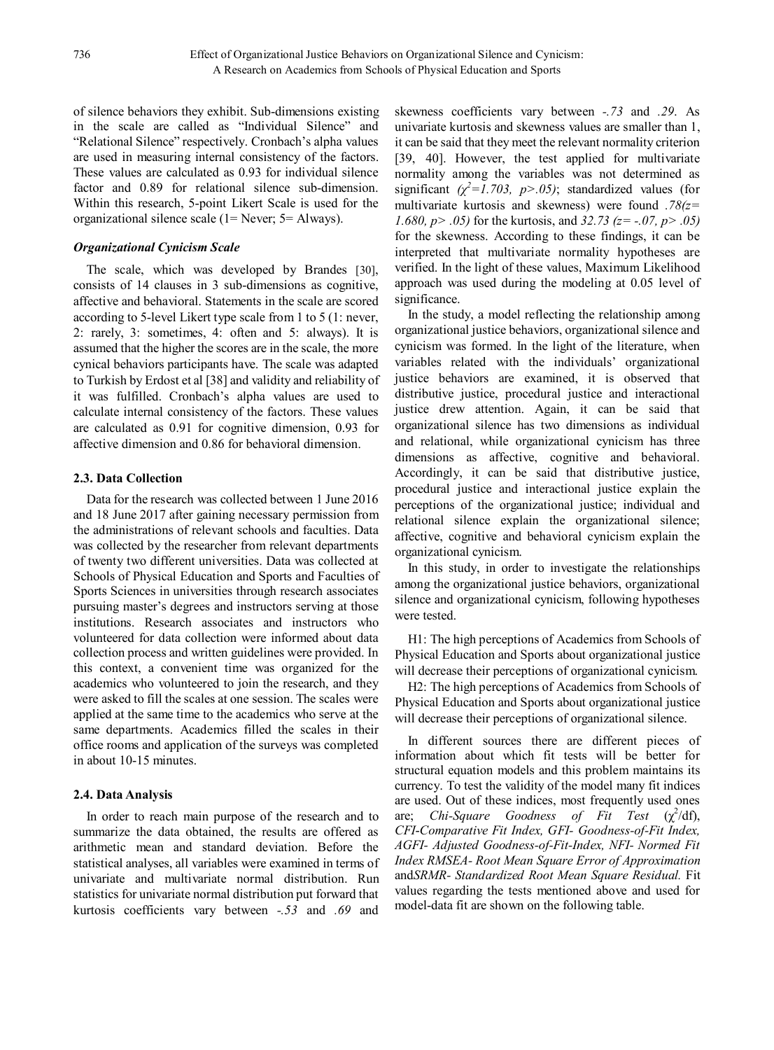of silence behaviors they exhibit. Sub-dimensions existing in the scale are called as "Individual Silence" and "Relational Silence" respectively. Cronbach's alpha values are used in measuring internal consistency of the factors. These values are calculated as 0.93 for individual silence factor and 0.89 for relational silence sub-dimension. Within this research, 5-point Likert Scale is used for the organizational silence scale (1= Never; 5= Always).

#### *Organizational Cynicism Scale*

The scale, which was developed by Brandes [30], consists of 14 clauses in 3 sub-dimensions as cognitive, affective and behavioral. Statements in the scale are scored according to 5-level Likert type scale from 1 to 5 (1: never, 2: rarely, 3: sometimes, 4: often and 5: always). It is assumed that the higher the scores are in the scale, the more cynical behaviors participants have. The scale was adapted to Turkish by Erdost et al [38] and validity and reliability of it was fulfilled. Cronbach's alpha values are used to calculate internal consistency of the factors. These values are calculated as 0.91 for cognitive dimension, 0.93 for affective dimension and 0.86 for behavioral dimension.

#### **2.3. Data Collection**

Data for the research was collected between 1 June 2016 and 18 June 2017 after gaining necessary permission from the administrations of relevant schools and faculties. Data was collected by the researcher from relevant departments of twenty two different universities. Data was collected at Schools of Physical Education and Sports and Faculties of Sports Sciences in universities through research associates pursuing master's degrees and instructors serving at those institutions. Research associates and instructors who volunteered for data collection were informed about data collection process and written guidelines were provided. In this context, a convenient time was organized for the academics who volunteered to join the research, and they were asked to fill the scales at one session. The scales were applied at the same time to the academics who serve at the same departments. Academics filled the scales in their office rooms and application of the surveys was completed in about 10-15 minutes.

#### **2.4. Data Analysis**

In order to reach main purpose of the research and to summarize the data obtained, the results are offered as arithmetic mean and standard deviation. Before the statistical analyses, all variables were examined in terms of univariate and multivariate normal distribution. Run statistics for univariate normal distribution put forward that kurtosis coefficients vary between *-.53* and *.69* and

skewness coefficients vary between *-.73* and *.29*. As univariate kurtosis and skewness values are smaller than 1, it can be said that they meet the relevant normality criterion [39, 40]. However, the test applied for multivariate normality among the variables was not determined as significant  $(\chi^2 = 1.703, p > .05)$ ; standardized values (for multivariate kurtosis and skewness) were found *.78(z= 1.680, p> .05)* for the kurtosis, and *32.73 (z= -.07, p> .05)* for the skewness. According to these findings, it can be interpreted that multivariate normality hypotheses are verified. In the light of these values, Maximum Likelihood approach was used during the modeling at 0.05 level of significance.

In the study, a model reflecting the relationship among organizational justice behaviors, organizational silence and cynicism was formed. In the light of the literature, when variables related with the individuals' organizational justice behaviors are examined, it is observed that distributive justice, procedural justice and interactional justice drew attention. Again, it can be said that organizational silence has two dimensions as individual and relational, while organizational cynicism has three dimensions as affective, cognitive and behavioral. Accordingly, it can be said that distributive justice, procedural justice and interactional justice explain the perceptions of the organizational justice; individual and relational silence explain the organizational silence; affective, cognitive and behavioral cynicism explain the organizational cynicism.

In this study, in order to investigate the relationships among the organizational justice behaviors, organizational silence and organizational cynicism, following hypotheses were tested.

H1: The high perceptions of Academics from Schools of Physical Education and Sports about organizational justice will decrease their perceptions of organizational cynicism.

H2: The high perceptions of Academics from Schools of Physical Education and Sports about organizational justice will decrease their perceptions of organizational silence.

In different sources there are different pieces of information about which fit tests will be better for structural equation models and this problem maintains its currency. To test the validity of the model many fit indices are used. Out of these indices, most frequently used ones are; *Chi-Square Goodness of Fit Test*  $(\chi^2/df)$ , *CFI*-*Comparative Fit Index, GFI- Goodness-of-Fit Index, AGFI- Adjusted Goodness-of-Fit-Index, NFI- Normed Fit Index RMSEA- Root Mean Square Error of Approximation* and*SRMR- Standardized Root Mean Square Residual.* Fit values regarding the tests mentioned above and used for model-data fit are shown on the following table.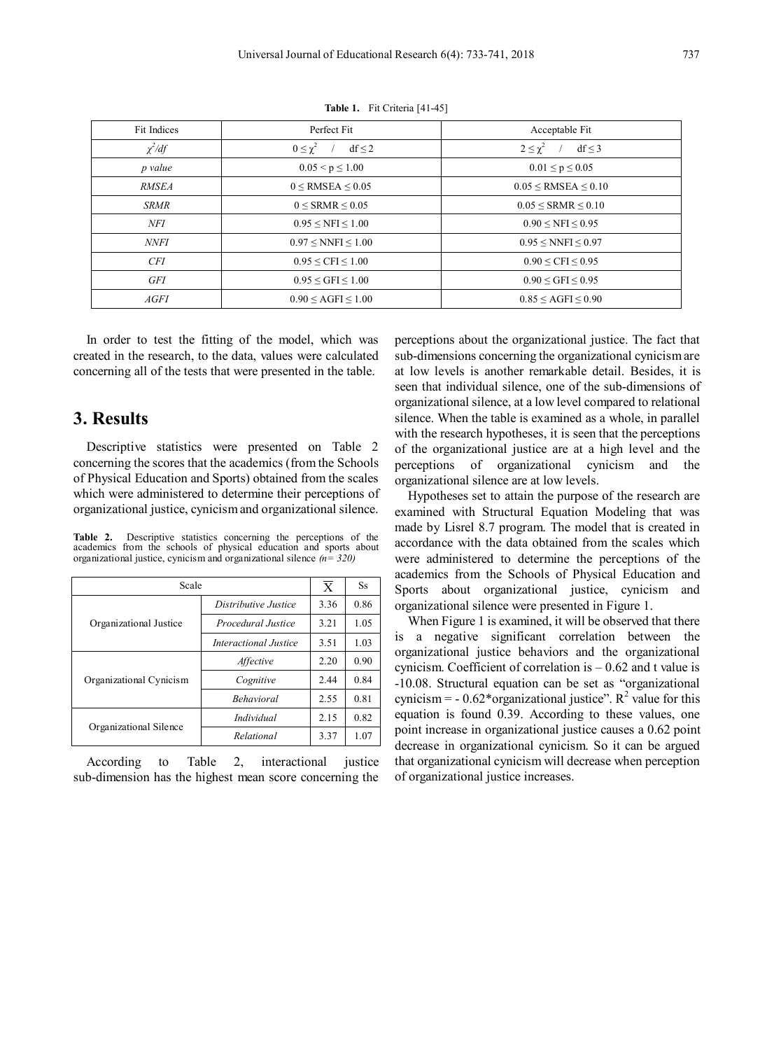| Fit Indices  | Perfect Fit                       | Acceptable Fit                    |  |  |
|--------------|-----------------------------------|-----------------------------------|--|--|
| $\chi^2/df$  | $0 \leq \chi^2$ / df $\leq 2$     | $2 \leq \chi^2$ / df $\leq$ 3     |  |  |
| p value      | $0.05 \le p \le 1.00$             | $0.01 \le p \le 0.05$             |  |  |
| <i>RMSEA</i> | $0 \leq$ RMSEA $\leq 0.05$        | $0.05 \leq$ RMSEA $\leq 0.10$     |  |  |
| <b>SRMR</b>  | $0 <$ SRMR $\leq 0.05$            | $0.05 \leq$ SRMR $\leq 0.10$      |  |  |
| NFI          | $0.95 \leq NFI \leq 1.00$         | $0.90 \leq \text{NFI} \leq 0.95$  |  |  |
| <i>NNFI</i>  | $0.97 \leq NNFI \leq 1.00$        | $0.95 \leq NNFI \leq 0.97$        |  |  |
| <b>CFI</b>   | $0.95 \leq CFI \leq 1.00$         | $0.90 \leq CFI \leq 0.95$         |  |  |
| GFI          | $0.95 \leq GFI \leq 1.00$         | $0.90 \leq$ GFI $\leq 0.95$       |  |  |
| <i>AGFI</i>  | $0.90 \leq \text{AGFI} \leq 1.00$ | $0.85 \leq \text{AGFI} \leq 0.90$ |  |  |

**Table 1.** Fit Criteria [41-45]

In order to test the fitting of the model, which was created in the research, to the data, values were calculated concerning all of the tests that were presented in the table.

## **3. Results**

Descriptive statistics were presented on Table 2 concerning the scores that the academics (from the Schools of Physical Education and Sports) obtained from the scales which were administered to determine their perceptions of organizational justice, cynicism and organizational silence.

**Table 2.** Descriptive statistics concerning the perceptions of the academics from the schools of physical education and sports about organizational justice, cynicism and organizational silence *(n= 320)*

| Scale                   | $\overline{X}$        | Ss.  |      |
|-------------------------|-----------------------|------|------|
|                         | Distributive Justice  | 3.36 | 0.86 |
| Organizational Justice  | Procedural Justice    | 3.21 | 1.05 |
|                         | Interactional Justice | 3.51 | 1.03 |
|                         | Affective             | 2.20 | 0.90 |
| Organizational Cynicism | Cognitive             | 2.44 | 0.84 |
|                         | <b>Behavioral</b>     | 2.55 | 0.81 |
|                         | <i>Individual</i>     | 2.15 | 0.82 |
| Organizational Silence  | Relational            | 3.37 | 1.07 |

According to Table 2, interactional justice sub-dimension has the highest mean score concerning the

perceptions about the organizational justice. The fact that sub-dimensions concerning the organizational cynicism are at low levels is another remarkable detail. Besides, it is seen that individual silence, one of the sub-dimensions of organizational silence, at a low level compared to relational silence. When the table is examined as a whole, in parallel with the research hypotheses, it is seen that the perceptions of the organizational justice are at a high level and the perceptions of organizational cynicism and the organizational silence are at low levels.

Hypotheses set to attain the purpose of the research are examined with Structural Equation Modeling that was made by Lisrel 8.7 program. The model that is created in accordance with the data obtained from the scales which were administered to determine the perceptions of the academics from the Schools of Physical Education and Sports about organizational justice, cynicism and organizational silence were presented in Figure 1.

When Figure 1 is examined, it will be observed that there is a negative significant correlation between the organizational justice behaviors and the organizational cynicism. Coefficient of correlation is – 0.62 and t value is -10.08. Structural equation can be set as "organizational cynicism =  $-0.62*$ organizational justice". R<sup>2</sup> value for this equation is found 0.39. According to these values, one point increase in organizational justice causes a 0.62 point decrease in organizational cynicism. So it can be argued that organizational cynicism will decrease when perception of organizational justice increases.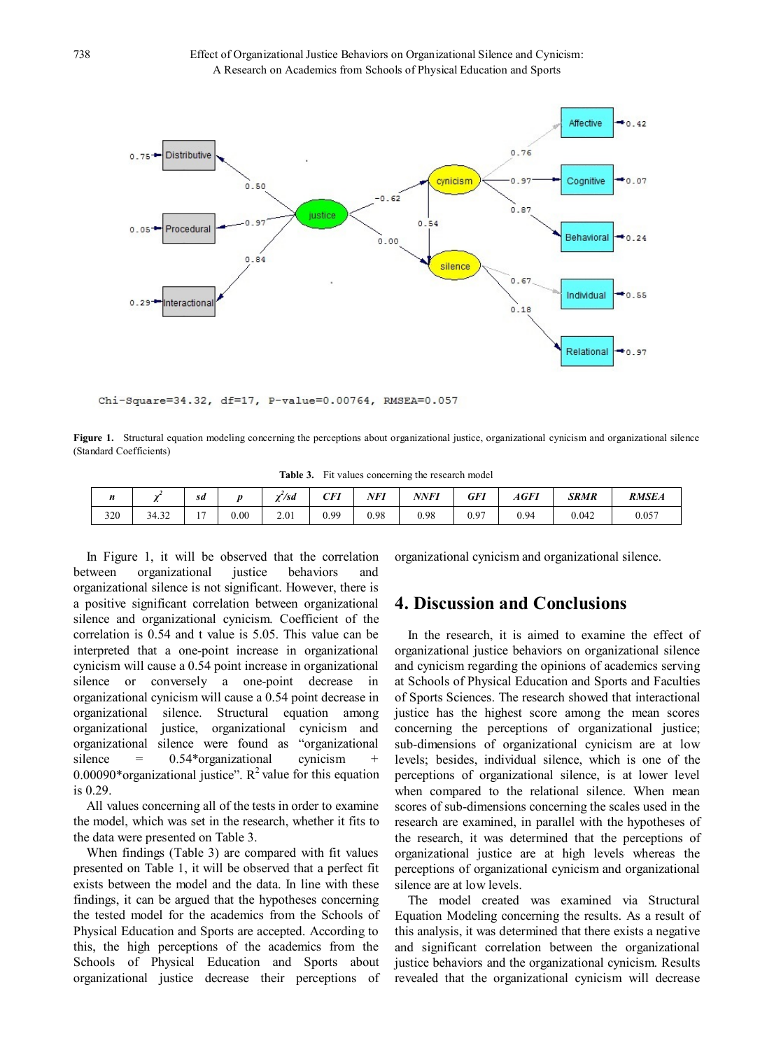

Chi-Square=34.32, df=17, P-value=0.00764, RMSEA=0.057

**Figure 1.** Structural equation modeling concerning the perceptions about organizational justice, organizational cynicism and organizational silence (Standard Coefficients)

**Table 3.** Fit values concerning the research model

| $\boldsymbol{\mathit{n}}$ |       | sd                       |      | '/sd | <b>CFI</b> | NFI  | NNFI | GFI                                     | AGFI | <b>SRMR</b> | <b>RMSEA</b> |
|---------------------------|-------|--------------------------|------|------|------------|------|------|-----------------------------------------|------|-------------|--------------|
| 320                       | 34.32 | $\overline{\phantom{a}}$ | 0.00 | 2.01 | 0.99       | 0.98 | 0.98 | $00-1$<br>$\mathsf{U} \cdot \mathsf{Z}$ | 0.94 | 0.042       | 0.057        |

In Figure 1, it will be observed that the correlation between organizational justice behaviors and organizational silence is not significant. However, there is a positive significant correlation between organizational silence and organizational cynicism. Coefficient of the correlation is 0.54 and t value is 5.05. This value can be interpreted that a one-point increase in organizational cynicism will cause a 0.54 point increase in organizational silence or conversely a one-point decrease in organizational cynicism will cause a 0.54 point decrease in organizational silence. Structural equation among organizational justice, organizational cynicism and organizational silence were found as "organizational silence  $= 0.54*$ organizational cynicism 0.00090\*organizational justice".  $R^2$  value for this equation is 0.29.

All values concerning all of the tests in order to examine the model, which was set in the research, whether it fits to the data were presented on Table 3.

When findings (Table 3) are compared with fit values presented on Table 1, it will be observed that a perfect fit exists between the model and the data. In line with these findings, it can be argued that the hypotheses concerning the tested model for the academics from the Schools of Physical Education and Sports are accepted. According to this, the high perceptions of the academics from the Schools of Physical Education and Sports about organizational justice decrease their perceptions of organizational cynicism and organizational silence.

## **4. Discussion and Conclusions**

In the research, it is aimed to examine the effect of organizational justice behaviors on organizational silence and cynicism regarding the opinions of academics serving at Schools of Physical Education and Sports and Faculties of Sports Sciences. The research showed that interactional justice has the highest score among the mean scores concerning the perceptions of organizational justice; sub-dimensions of organizational cynicism are at low levels; besides, individual silence, which is one of the perceptions of organizational silence, is at lower level when compared to the relational silence. When mean scores of sub-dimensions concerning the scales used in the research are examined, in parallel with the hypotheses of the research, it was determined that the perceptions of organizational justice are at high levels whereas the perceptions of organizational cynicism and organizational silence are at low levels.

The model created was examined via Structural Equation Modeling concerning the results. As a result of this analysis, it was determined that there exists a negative and significant correlation between the organizational justice behaviors and the organizational cynicism. Results revealed that the organizational cynicism will decrease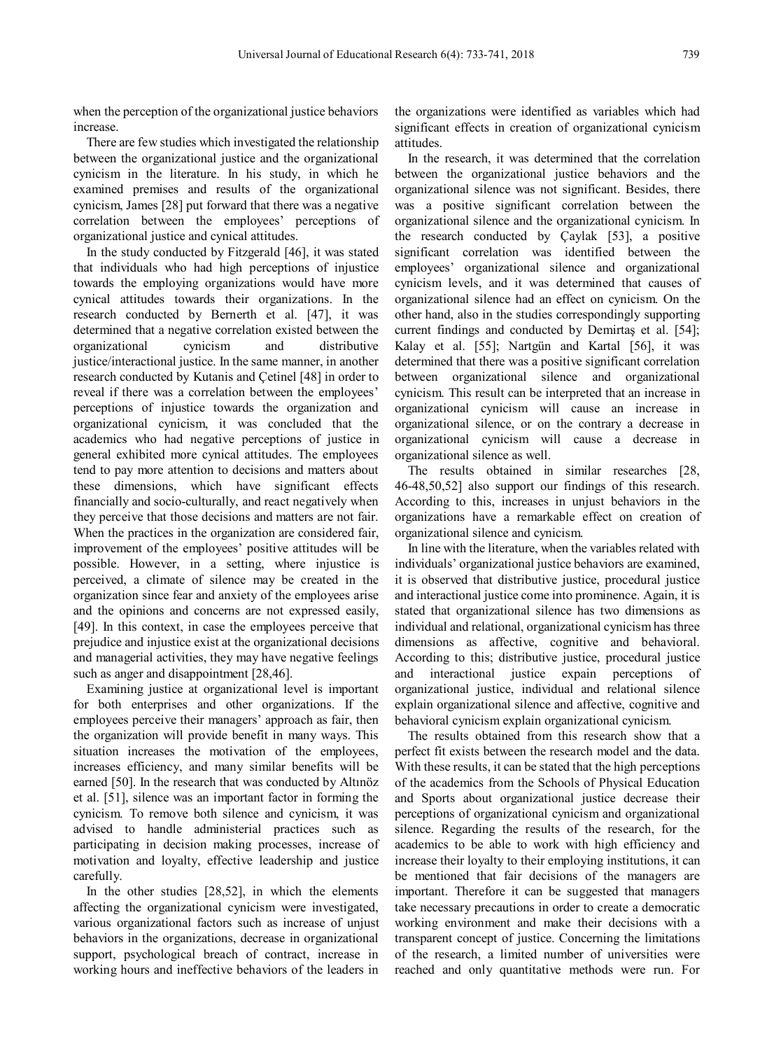when the perception of the organizational justice behaviors increase.

There are few studies which investigated the relationship between the organizational justice and the organizational cynicism in the literature. In his study, in which he examined premises and results of the organizational cynicism, James [28] put forward that there was a negative correlation between the employees' perceptions of organizational justice and cynical attitudes.

In the study conducted by Fitzgerald [46], it was stated that individuals who had high perceptions of injustice towards the employing organizations would have more cynical attitudes towards their organizations. In the research conducted by Bernerth et al. [47], it was determined that a negative correlation existed between the organizational cynicism and distributive justice/interactional justice. In the same manner, in another research conducted by Kutanis and Çetinel [48] in order to reveal if there was a correlation between the employees' perceptions of injustice towards the organization and organizational cynicism, it was concluded that the academics who had negative perceptions of justice in general exhibited more cynical attitudes. The employees tend to pay more attention to decisions and matters about these dimensions, which have significant effects financially and socio-culturally, and react negatively when they perceive that those decisions and matters are not fair. When the practices in the organization are considered fair, improvement of the employees' positive attitudes will be possible. However, in a setting, where injustice is perceived, a climate of silence may be created in the organization since fear and anxiety of the employees arise and the opinions and concerns are not expressed easily, [49]. In this context, in case the employees perceive that prejudice and injustice exist at the organizational decisions and managerial activities, they may have negative feelings such as anger and disappointment [28,46].

Examining justice at organizational level is important for both enterprises and other organizations. If the employees perceive their managers' approach as fair, then the organization will provide benefit in many ways. This situation increases the motivation of the employees, increases efficiency, and many similar benefits will be earned [50]. In the research that was conducted by Altınöz et al. [51], silence was an important factor in forming the cynicism. To remove both silence and cynicism, it was advised to handle administerial practices such as participating in decision making processes, increase of motivation and loyalty, effective leadership and justice carefully.

In the other studies [28,52], in which the elements affecting the organizational cynicism were investigated, various organizational factors such as increase of unjust behaviors in the organizations, decrease in organizational support, psychological breach of contract, increase in working hours and ineffective behaviors of the leaders in

the organizations were identified as variables which had significant effects in creation of organizational cynicism attitudes.

In the research, it was determined that the correlation between the organizational justice behaviors and the organizational silence was not significant. Besides, there was a positive significant correlation between the organizational silence and the organizational cynicism. In the research conducted by Çaylak [53], a positive significant correlation was identified between the employees' organizational silence and organizational cynicism levels, and it was determined that causes of organizational silence had an effect on cynicism. On the other hand, also in the studies correspondingly supporting current findings and conducted by Demirtaş et al. [54]; Kalay et al. [55]; Nartgün and Kartal [56], it was determined that there was a positive significant correlation between organizational silence and organizational cynicism. This result can be interpreted that an increase in organizational cynicism will cause an increase in organizational silence, or on the contrary a decrease in organizational cynicism will cause a decrease in organizational silence as well.

The results obtained in similar researches [28, 46-48,50,52] also support our findings of this research. According to this, increases in unjust behaviors in the organizations have a remarkable effect on creation of organizational silence and cynicism.

In line with the literature, when the variables related with individuals' organizational justice behaviors are examined, it is observed that distributive justice, procedural justice and interactional justice come into prominence. Again, it is stated that organizational silence has two dimensions as individual and relational, organizational cynicism has three dimensions as affective, cognitive and behavioral. According to this; distributive justice, procedural justice and interactional justice expain perceptions of organizational justice, individual and relational silence explain organizational silence and affective, cognitive and behavioral cynicism explain organizational cynicism.

The results obtained from this research show that a perfect fit exists between the research model and the data. With these results, it can be stated that the high perceptions of the academics from the Schools of Physical Education and Sports about organizational justice decrease their perceptions of organizational cynicism and organizational silence. Regarding the results of the research, for the academics to be able to work with high efficiency and increase their loyalty to their employing institutions, it can be mentioned that fair decisions of the managers are important. Therefore it can be suggested that managers take necessary precautions in order to create a democratic working environment and make their decisions with a transparent concept of justice. Concerning the limitations of the research, a limited number of universities were reached and only quantitative methods were run. For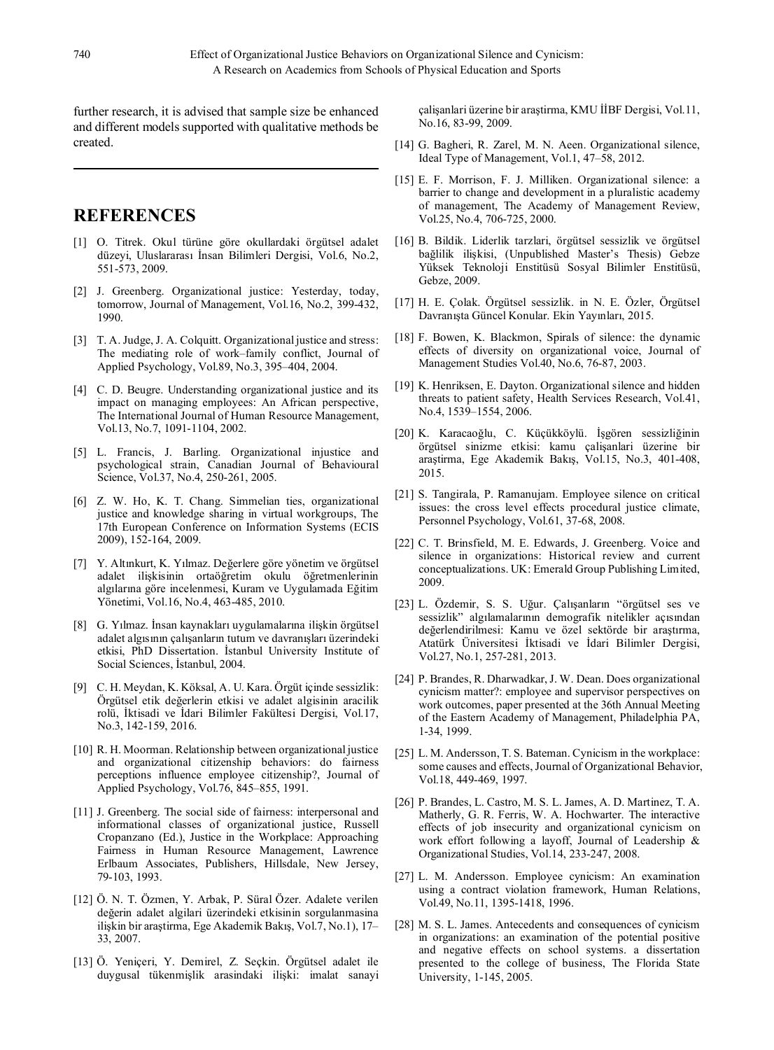further research, it is advised that sample size be enhanced and different models supported with qualitative methods be created.

# **REFERENCES**

- [1] O. Titrek. Okul türüne göre okullardaki örgütsel adalet düzeyi, Uluslararası İnsan Bilimleri Dergisi, Vol.6, No.2, 551-573, 2009.
- [2] J. Greenberg. Organizational justice: Yesterday, today, tomorrow, Journal of Management, Vol.16, No.2, 399-432, 1990.
- [3] T. A. Judge, J. A. Colquitt. Organizational justice and stress: The mediating role of work–family conflict, Journal of Applied Psychology, Vol.89, No.3, 395–404, 2004.
- [4] C. D. Beugre. Understanding organizational justice and its impact on managing employees: An African perspective, The International Journal of Human Resource Management, Vol.13, No.7, 1091-1104, 2002.
- [5] L. Francis, J. Barling. Organizational injustice and psychological strain, Canadian Journal of Behavioural Science, Vol.37, No.4, 250-261, 2005.
- [6] Z. W. Ho, K. T. Chang. Simmelian ties, organizational justice and knowledge sharing in virtual workgroups, The 17th European Conference on Information Systems (ECIS 2009), 152-164, 2009.
- [7] Y. Altınkurt, K. Yılmaz. Değerlere göre yönetim ve örgütsel adalet ilişkisinin ortaöğretim okulu öğretmenlerinin algılarına göre incelenmesi, Kuram ve Uygulamada Eğitim Yönetimi, Vol.16, No.4, 463-485, 2010.
- [8] G. Yılmaz. İnsan kaynakları uygulamalarına ilişkin örgütsel adalet algısının çalışanların tutum ve davranışları üzerindeki etkisi, PhD Dissertation. İstanbul University Institute of Social Sciences, İstanbul, 2004.
- [9] C. H. Meydan, K. Köksal, A. U. Kara. Örgüt içinde sessizlik: Örgütsel etik değerlerin etkisi ve adalet algisinin aracilik rolü, İktisadi ve İdari Bilimler Fakültesi Dergisi, Vol.17, No.3, 142-159, 2016.
- [10] R. H. Moorman. Relationship between organizational justice and organizational citizenship behaviors: do fairness perceptions influence employee citizenship?, Journal of Applied Psychology, Vol.76, 845–855, 1991.
- [11] J. Greenberg. The social side of fairness: interpersonal and informational classes of organizational justice, Russell Cropanzano (Ed.), Justice in the Workplace: Approaching Fairness in Human Resource Management, Lawrence Erlbaum Associates, Publishers, Hillsdale, New Jersey, 79-103, 1993.
- [12] Ö. N. T. Özmen, Y. Arbak, P. Süral Özer. Adalete verilen değerin adalet algilari üzerindeki etkisinin sorgulanmasina ilişkin bir araştirma, Ege Akademik Bakış, Vol.7, No.1), 17– 33, 2007.
- [13] Ö. Yeniçeri, Y. Demirel, Z. Seçkin. Örgütsel adalet ile duygusal tükenmişlik arasindaki ilişki: imalat sanayi

çalişanlari üzerine bir araştirma, KMU İİBF Dergisi, Vol.11, No.16, 83-99, 2009.

- [14] G. Bagheri, R. Zarel, M. N. Aeen. Organizational silence, Ideal Type of Management, Vol.1, 47–58, 2012.
- [15] E. F. Morrison, F. J. Milliken. Organizational silence: a barrier to change and development in a pluralistic academy of management, The Academy of Management Review, Vol.25, No.4, 706-725, 2000.
- [16] B. Bildik. Liderlik tarzlari, örgütsel sessizlik ve örgütsel bağlilik ilişkisi, (Unpublished Master's Thesis) Gebze Yüksek Teknoloji Enstitüsü Sosyal Bilimler Enstitüsü, Gebze, 2009.
- [17] H. E. Çolak. Örgütsel sessizlik. in N. E. Özler, Örgütsel Davranışta Güncel Konular. Ekin Yayınları, 2015.
- [18] F. Bowen, K. Blackmon, Spirals of silence: the dynamic effects of diversity on organizational voice, Journal of Management Studies Vol.40, No.6, 76-87, 2003.
- [19] K. Henriksen, E. Dayton. Organizational silence and hidden threats to patient safety, Health Services Research, Vol.41, No.4, 1539–1554, 2006.
- [20] K. Karacaoğlu, C. Küçükköylü. İşgören sessizliğinin örgütsel sinizme etkisi: kamu çalişanlari üzerine bir araştirma, Ege Akademik Bakış, Vol.15, No.3, 401-408, 2015.
- [21] S. Tangirala, P. Ramanujam. Employee silence on critical issues: the cross level effects procedural justice climate, Personnel Psychology, Vol.61, 37-68, 2008.
- [22] C. T. Brinsfield, M. E. Edwards, J. Greenberg. Voice and silence in organizations: Historical review and current conceptualizations. UK: Emerald Group Publishing Limited, 2009.
- [23] L. Özdemir, S. S. Uğur. Çalışanların "örgütsel ses ve sessizlik" algılamalarının demografik nitelikler açısından değerlendirilmesi: Kamu ve özel sektörde bir araştırma, Atatürk Üniversitesi İktisadi ve İdari Bilimler Dergisi, Vol.27, No.1, 257-281, 2013.
- [24] P. Brandes, R. Dharwadkar, J. W. Dean. Does organizational cynicism matter?: employee and supervisor perspectives on work outcomes, paper presented at the 36th Annual Meeting of the Eastern Academy of Management, Philadelphia PA, 1-34, 1999.
- [25] L. M. Andersson, T. S. Bateman. Cynicism in the workplace: some causes and effects, Journal of Organizational Behavior, Vol.18, 449-469, 1997.
- [26] P. Brandes, L. Castro, M. S. L. James, A. D. Martinez, T. A. Matherly, G. R. Ferris, W. A. Hochwarter. The interactive effects of job insecurity and organizational cynicism on work effort following a layoff, Journal of Leadership & Organizational Studies, Vol.14, 233-247, 2008.
- [27] L. M. Andersson. Employee cynicism: An examination using a contract violation framework, Human Relations, Vol.49, No.11, 1395-1418, 1996.
- [28] M. S. L. James. Antecedents and consequences of cynicism in organizations: an examination of the potential positive and negative effects on school systems. a dissertation presented to the college of business, The Florida State University, 1-145, 2005.